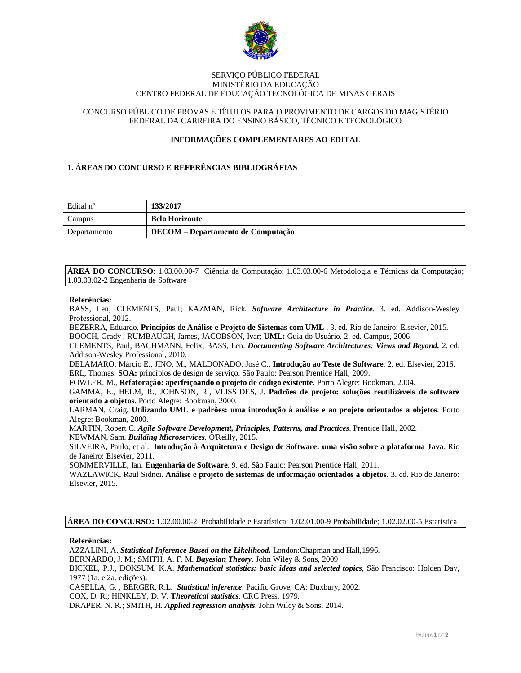

### SERVIÇO PÚBLICO FEDERAL MINISTÉRIO DA EDUCAÇÃO CENTRO FEDERAL DE EDUCAÇÃO TECNOLÓGICA DE MINAS GERAIS

## CONCURSO PÚBLICO DE PROVAS E TÍTULOS PARA O PROVIMENTO DE CARGOS DO MAGISTÉRIO FEDERAL DA CARREIRA DO ENSINO BÁSICO, TÉCNICO E TECNOLÓGICO

# **INFORMAÇÕES COMPLEMENTARES AO EDITAL**

## **1. ÁREAS DO CONCURSO E REFERÊNCIAS BIBLIOGRÁFIAS**

| Edital n°    | 133/2017                           |
|--------------|------------------------------------|
| Campus       | <b>Belo Horizonte</b>              |
| Departamento | DECOM – Departamento de Computação |

**ÁREA DO CONCURSO**: 1.03.00.00-7 Ciência da Computação; 1.03.03.00-6 Metodologia e Técnicas da Computação; 1.03.03.02-2 Engenharia de Software

#### **Referências:**

BASS, Len; CLEMENTS, Paul; KAZMAN, Rick. *Software Architecture in Practice*. 3. ed. Addison-Wesley Professional, 2012.

BEZERRA, Eduardo. **Princípios de Análise e Projeto de Sistemas com UML** . 3. ed. Rio de Janeiro: Elsevier, 2015. BOOCH, Grady , RUMBAUGH, James, JACOBSON, Ivar; **UML:** Guia do Usuário. 2. ed. Campus, 2006.

CLEMENTS, Paul; BACHMANN, Felix; BASS, Len. *Documenting Software Architectures: Views and Beyond.* 2. ed. Addison-Wesley Professional, 2010.

DELAMARO, Márcio E., JINO, M., MALDONADO, José C.. **Introdução ao Teste de Software**. 2. ed. Elsevier, 2016. ERL, Thomas. **SOA:** princípios de design de serviço. São Paulo: Pearson Prentice Hall, 2009.

FOWLER, M., **Refatoração: aperfeiçoando o projeto de código existente.** Porto Alegre: Bookman, 2004.

GAMMA, E., HELM, R., JOHNSON, R., VLISSIDES, J. **Padrões de projeto: soluções reutilizáveis de software orientado a objetos**. Porto Alegre: Bookman, 2000.

LARMAN, Craig. **Utilizando UML e padrões: uma introdução à análise e ao projeto orientados a objetos**. Porto Alegre: Bookman, 2000.

MARTIN, Robert C. *Agile Software Development, Principles, Patterns, and Practices*. Prentice Hall, 2002.

NEWMAN, Sam. *Building Microservices*. O'Reilly, 2015.

SILVEIRA, Paulo; et al.. **Introdução à Arquitetura e Design de Software: uma visão sobre a plataforma Java**. Rio de Janeiro: Elsevier, 2011.

SOMMERVILLE, Ian. **Engenharia de Software**. 9. ed. São Paulo: Pearson Prentice Hall, 2011.

WAZLAWICK, Raul Sidnei. **Análise e projeto de sistemas de informação orientados a objetos**. 3. ed. Rio de Janeiro: Elsevier, 2015.

**ÁREA DO CONCURSO:** 1.02.00.00-2 Probabilidade e Estatística; 1.02.01.00-9 Probabilidade; 1.02.02.00-5 Estatística

**Referências:** 

AZZALINI, A. *Statistical Inference Based on the Likelihood***.** London:Chapman and Hall,1996.

BERNARDO, J. M.; SMITH, A. F. M. *Bayesian Theory*. John Wiley & Sons, 2009

BICKEL, P.J., DOKSUM, K.A. *Mathematical statistics: basic ideas and selected topics*, São Francisco: Holden Day, 1977 (1a. e 2a. edições).

CASELLA, G. , BERGER, R.L. *Statistical inference*. Pacific Grove, CA: Duxbury, 2002.

COX, D. R.; HINKLEY, D. V. **T***heoretical statistics*. CRC Press, 1979.

DRAPER, N. R.; SMITH, H. *Applied regression analysis*. John Wiley & Sons, 2014.